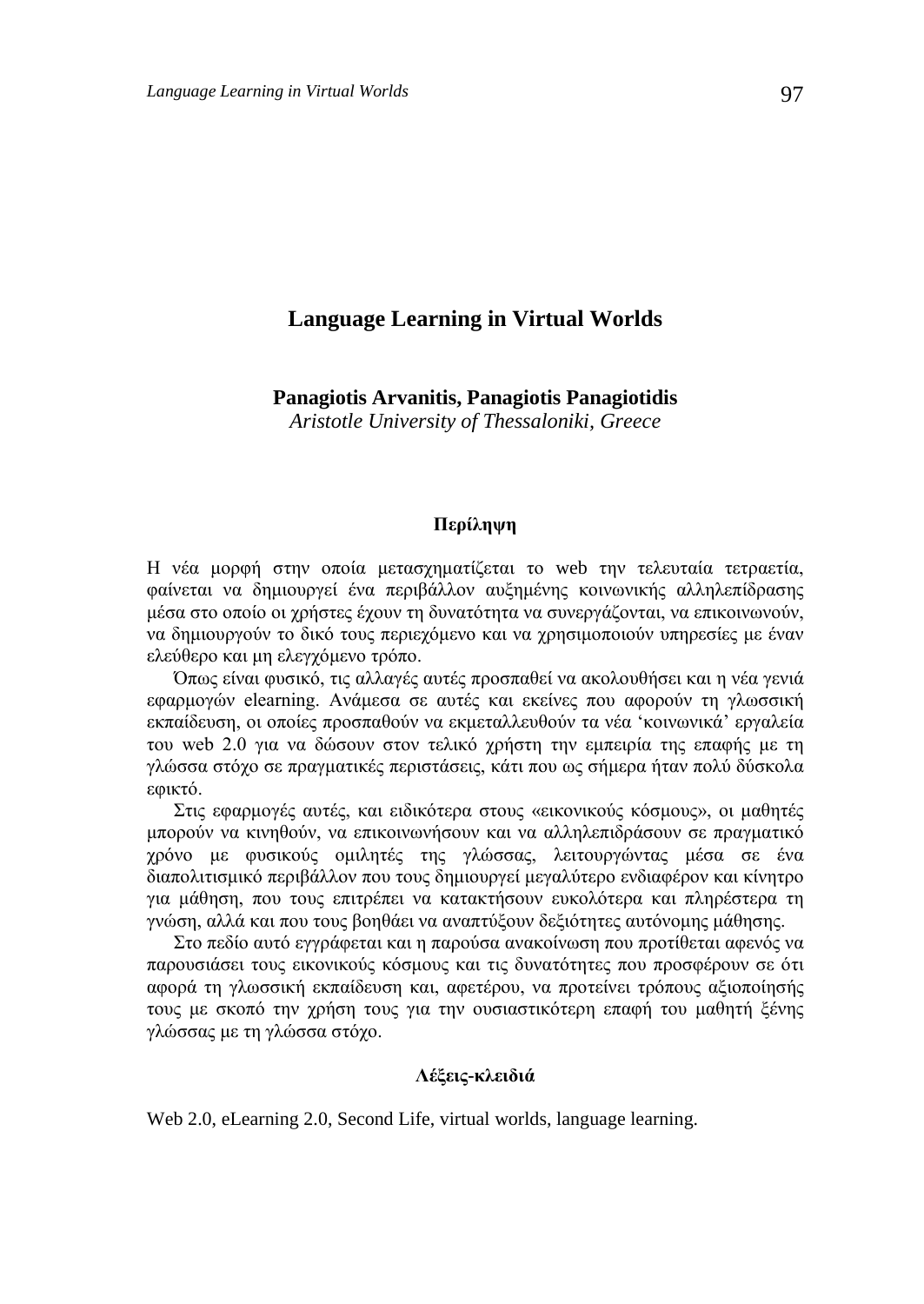# **Language Learning in Virtual Worlds**

**Panagiotis Arvanitis, Panagiotis Panagiotidis**

*Aristotle University of Thessaloniki, Greece*

#### **Περίληψη**

Η νέα μορφή στην οποία μετασχηματίζεται το web την τελευταία τετραετία, φαίνεται να δημιουργεί ένα περιβάλλον αυξημένης κοινωνικής αλληλεπίδρασης μέσα στο οποίο οι χρήστες έχουν τη δυνατότητα να συνεργάζονται, να επικοινωνούν, να δημιουργούν το δικό τους περιεχόμενο και να χρησιμοποιούν υπηρεσίες με έναν ελεύθερο και μη ελεγχόμενο τρόπο.

Όπως είναι φυσικό, τις αλλαγές αυτές προσπαθεί να ακολουθήσει και η νέα γενιά εφαρμογών elearning. Ανάμεσα σε αυτές και εκείνες που αφορούν τη γλωσσική εκπαίδευση, οι οποίες προσπαθούν να εκμεταλλευθούν τα νέα 'κοινωνικά' εργαλεία του web 2.0 για να δώσουν στον τελικό χρήστη την εμπειρία της επαφής με τη γλώσσα στόχο σε πραγματικές περιστάσεις, κάτι που ως σήμερα ήταν πολύ δύσκολα εφικτό.

Στις εφαρμογές αυτές, και ειδικότερα στους «εικονικούς κόσμους», οι μαθητές μπορούν να κινηθούν, να επικοινωνήσουν και να αλληλεπιδράσουν σε πραγματικό χρόνο με φυσικούς ομιλητές της γλώσσας, λειτουργώντας μέσα σε ένα διαπολιτισμικό περιβάλλον που τους δημιουργεί μεγαλύτερο ενδιαφέρον και κίνητρο για μάθηση, που τους επιτρέπει να κατακτήσουν ευκολότερα και πληρέστερα τη γνώση, αλλά και που τους βοηθάει να αναπτύξουν δεξιότητες αυτόνομης μάθησης.

Στο πεδίο αυτό εγγράφεται και η παρούσα ανακοίνωση που προτίθεται αφενός να παρουσιάσει τους εικονικούς κόσμους και τις δυνατότητες που προσφέρουν σε ότι αφορά τη γλωσσική εκπαίδευση και, αφετέρου, να προτείνει τρόπους αξιοποίησής τους με σκοπό την χρήση τους για την ουσιαστικότερη επαφή του μαθητή ξένης γλώσσας με τη γλώσσα στόχο.

### **Λέξεις-κλειδιά**

Web 2.0, eLearning 2.0, Second Life, virtual worlds, language learning.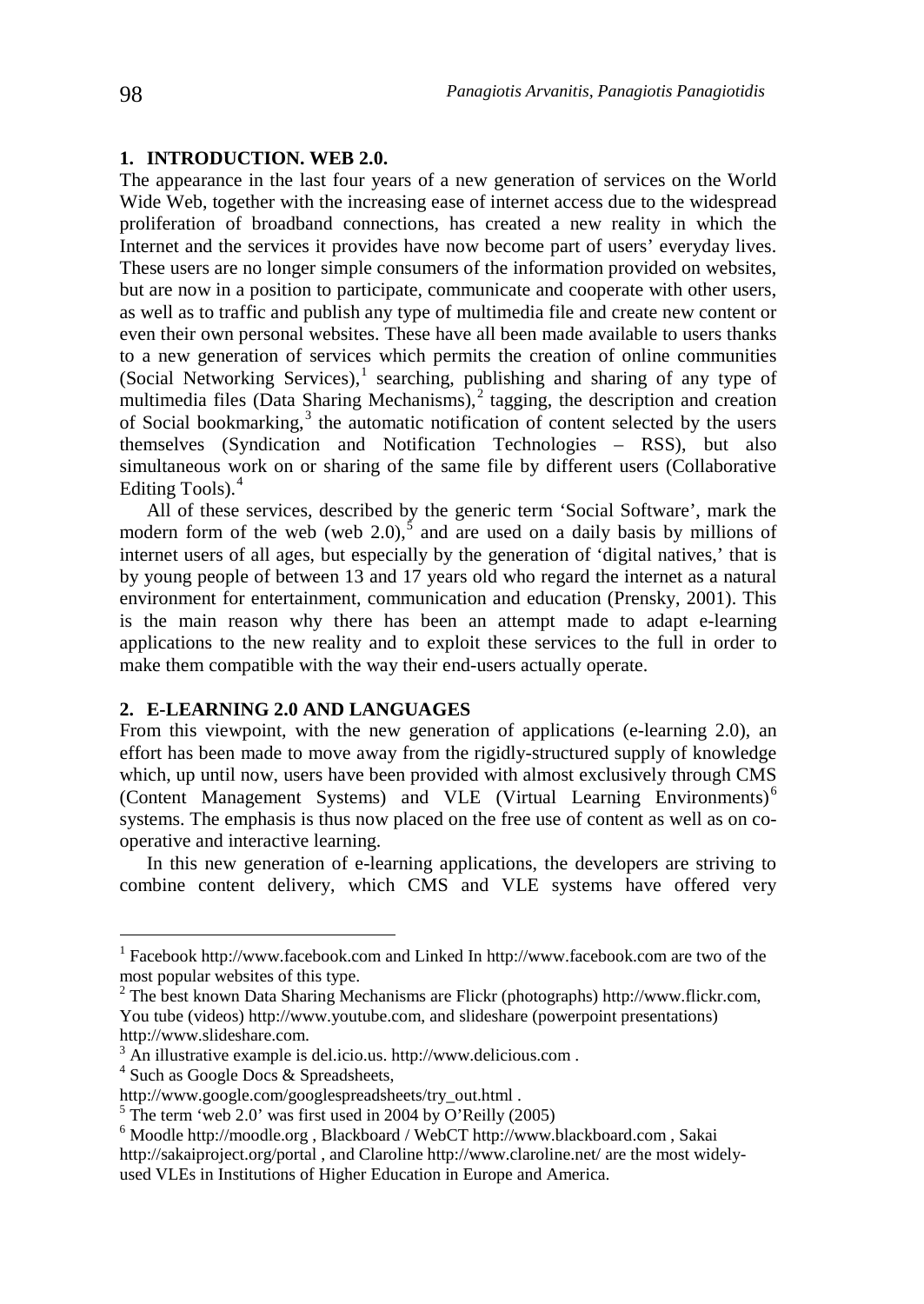### **1. INTRODUCTION. WEB 2.0.**

The appearance in the last four years of a new generation of services on the World Wide Web, together with the increasing ease of internet access due to the widespread proliferation of broadband connections, has created a new reality in which the Internet and the services it provides have now become part of users' everyday lives. These users are no longer simple consumers of the information provided on websites, but are now in a position to participate, communicate and cooperate with other users, as well as to traffic and publish any type of multimedia file and create new content or even their own personal websites. These have all been made available to users thanks to a new generation of services which permits the creation of online communities (Social Networking Services),[1](#page-1-0) searching, publishing and sharing of any type of multimedia files (Data Sharing Mechanisms), $\frac{1}{2}$  $\frac{1}{2}$  $\frac{1}{2}$  tagging, the description and creation of Social bookmarking,<sup>[3](#page-1-2)</sup> the automatic notification of content selected by the users themselves (Syndication and Notification Technologies – RSS), but also simultaneous work on or sharing of the same file by different users (Collaborative Editing Tools). $4$ 

All of these services, described by the generic term 'Social Software', mark the modern form of the web (web 2.0),<sup>[5](#page-1-4)</sup> and are used on a daily basis by millions of internet users of all ages, but especially by the generation of 'digital natives,' that is by young people of between 13 and 17 years old who regard the internet as a natural environment for entertainment, communication and education (Prensky, 2001). This is the main reason why there has been an attempt made to adapt e-learning applications to the new reality and to exploit these services to the full in order to make them compatible with the way their end-users actually operate.

## **2. E-LEARNING 2.0 AND LANGUAGES**

From this viewpoint, with the new generation of applications (e-learning 2.0), an effort has been made to move away from the rigidly-structured supply of knowledge which, up until now, users have been provided with almost exclusively through CMS (Content Management Systems) and VLE (Virtual Learning Environments)[6](#page-1-5) systems. The emphasis is thus now placed on the free use of content as well as on cooperative and interactive learning.

In this new generation of e-learning applications, the developers are striving to combine content delivery, which CMS and VLE systems have offered very

<span id="page-1-0"></span> <sup>1</sup> Facebook http://www.facebook.com and Linked In http://www.facebook.com are two of the most popular websites of this type.

<span id="page-1-1"></span> $2$  The best known Data Sharing Mechanisms are Flickr (photographs) http://www.flickr.com, You tube (videos) http://www.youtube.com, and slideshare (powerpoint presentations) http://www.slideshare.com.

<span id="page-1-2"></span><sup>3</sup> An illustrative example is del.icio.us. http://www.delicious.com .

<span id="page-1-3"></span><sup>4</sup> Such as Google Docs & Spreadsheets,

<span id="page-1-5"></span><span id="page-1-4"></span>

http://www.google.com/googlespreadsheets/try\_out.html .<br>
<sup>5</sup> The term 'web 2.0' was first used in 2004 by O'Reilly (2005)<br>
<sup>6</sup> Moodle http://moodle.org , Blackboard / WebCT http://www.blackboard.com , Sakai http://sakaiproject.org/portal , and Claroline http://www.claroline.net/ are the most widelyused VLEs in Institutions of Higher Education in Europe and America.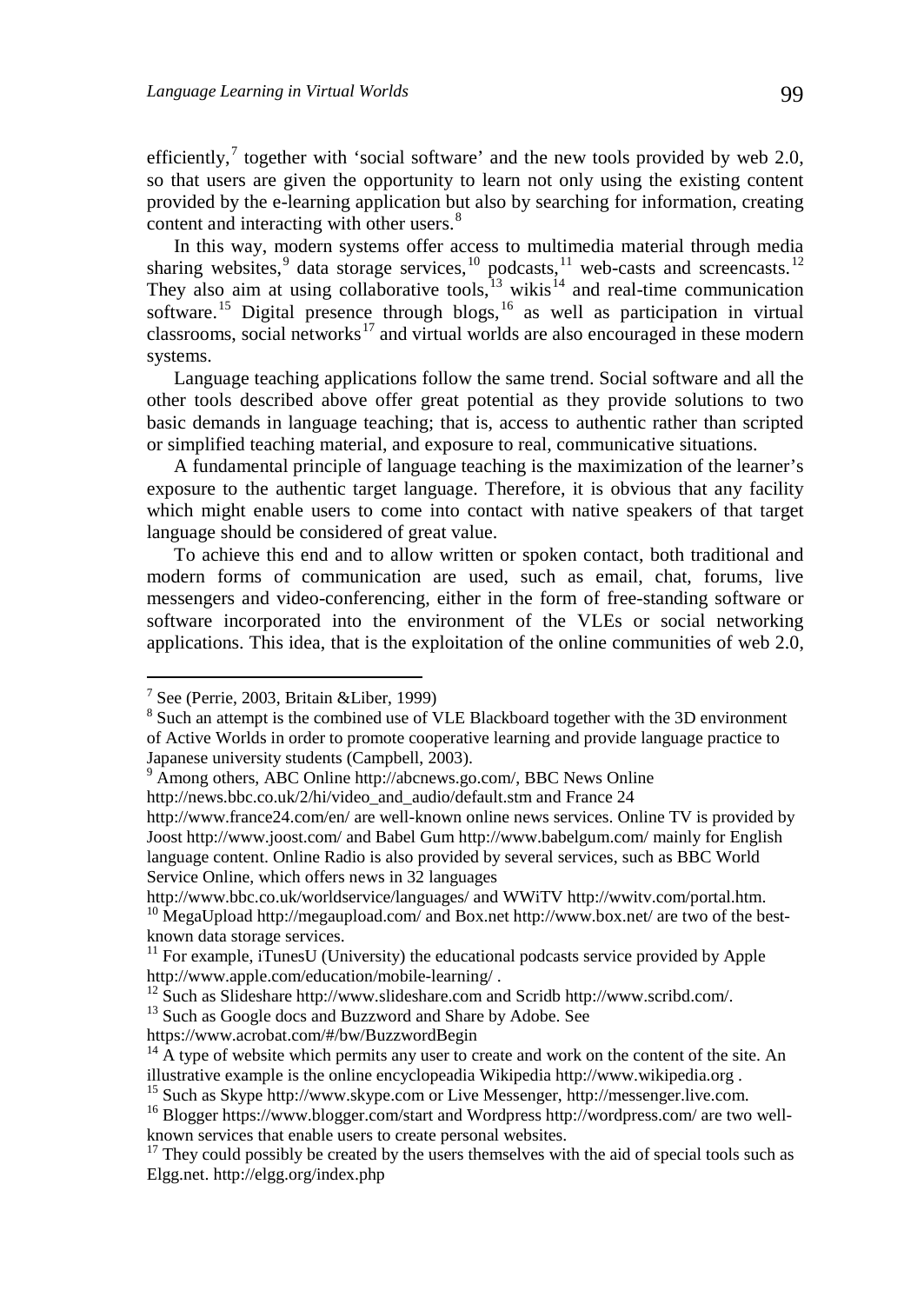efficiently, together with 'social software' and the new tools provided by web 2.0, so that users are given the opportunity to learn not only using the existing content provided by the e-learning application but also by searching for information, creating content and interacting with other users.<sup>[8](#page-2-1)</sup>

In this way, modern systems offer access to multimedia material through media sharing websites,  $9$  data storage services,  $10$  podcasts,  $11$  web-casts and screencasts.  $12$ They also aim at using collaborative tools,  $13$  wikis  $14$  and real-time communication software.<sup>[15](#page-2-8)</sup> Digital presence through blogs,<sup>[16](#page-2-9)</sup> as well as participation in virtual classrooms, social networks<sup>[17](#page-2-10)</sup> and virtual worlds are also encouraged in these modern systems.

Language teaching applications follow the same trend. Social software and all the other tools described above offer great potential as they provide solutions to two basic demands in language teaching; that is, access to authentic rather than scripted or simplified teaching material, and exposure to real, communicative situations.

A fundamental principle of language teaching is the maximization of the learner's exposure to the authentic target language. Therefore, it is obvious that any facility which might enable users to come into contact with native speakers of that target language should be considered of great value.

To achieve this end and to allow written or spoken contact, both traditional and modern forms of communication are used, such as email, chat, forums, live messengers and video-conferencing, either in the form of free-standing software or software incorporated into the environment of the VLEs or social networking applications. This idea, that is the exploitation of the online communities of web 2.0,

http://news.bbc.co.uk/2/hi/video\_and\_audio/default.stm and France 24

http://www.bbc.co.uk/worldservice/languages/ and WWiTV http://wwitv.com/portal.htm.

<span id="page-2-7"></span><span id="page-2-6"></span>https://www.acrobat.com/#/bw/BuzzwordBegin

<span id="page-2-0"></span> $<sup>7</sup>$  See (Perrie, 2003, Britain & Liber, 1999)</sup>

<span id="page-2-1"></span><sup>&</sup>lt;sup>8</sup> Such an attempt is the combined use of VLE Blackboard together with the 3D environment of Active Worlds in order to promote cooperative learning and provide language practice to Japanese university students (Campbell, 2003).

<span id="page-2-2"></span><sup>9</sup> Among others, ABC Online http://abcnews.go.com/, BBC News Online

http://www.france24.com/en/ are well-known online news services. Online TV is provided by Joost http://www.joost.com/ and Babel Gum http://www.babelgum.com/ mainly for English language content. Online Radio is also provided by several services, such as BBC World Service Online, which offers news in 32 languages

<span id="page-2-3"></span><sup>&</sup>lt;sup>10</sup> MegaUpload http://megaupload.com/ and Box.net http://www.box.net/ are two of the bestknown data storage services.

<span id="page-2-4"></span><sup>&</sup>lt;sup>11</sup> For example, iTunesU (University) the educational podcasts service provided by Apple http://www.apple.com/education/mobile-learning/.

<span id="page-2-5"></span><sup>&</sup>lt;sup>12</sup> Such as Slideshare http://www.slideshare.com and Scridb http://www.scribd.com/. <sup>13</sup> Such as Google docs and Buzzword and Share by Adobe. See

 $14$  A type of website which permits any user to create and work on the content of the site. An illustrative example is the online encyclopeadia Wikipedia http://www.wikipedia.org .<br><sup>15</sup> Such as Skype http://www.skype.com or Live Messenger, http://messenger.live.com.

<span id="page-2-8"></span>

<span id="page-2-9"></span><sup>&</sup>lt;sup>16</sup> Blogger https://www.blogger.com/start and Wordpress http://wordpress.com/ are two wellknown services that enable users to create personal websites.

<span id="page-2-10"></span> $17$  They could possibly be created by the users themselves with the aid of special tools such as Elgg.net. http://elgg.org/index.php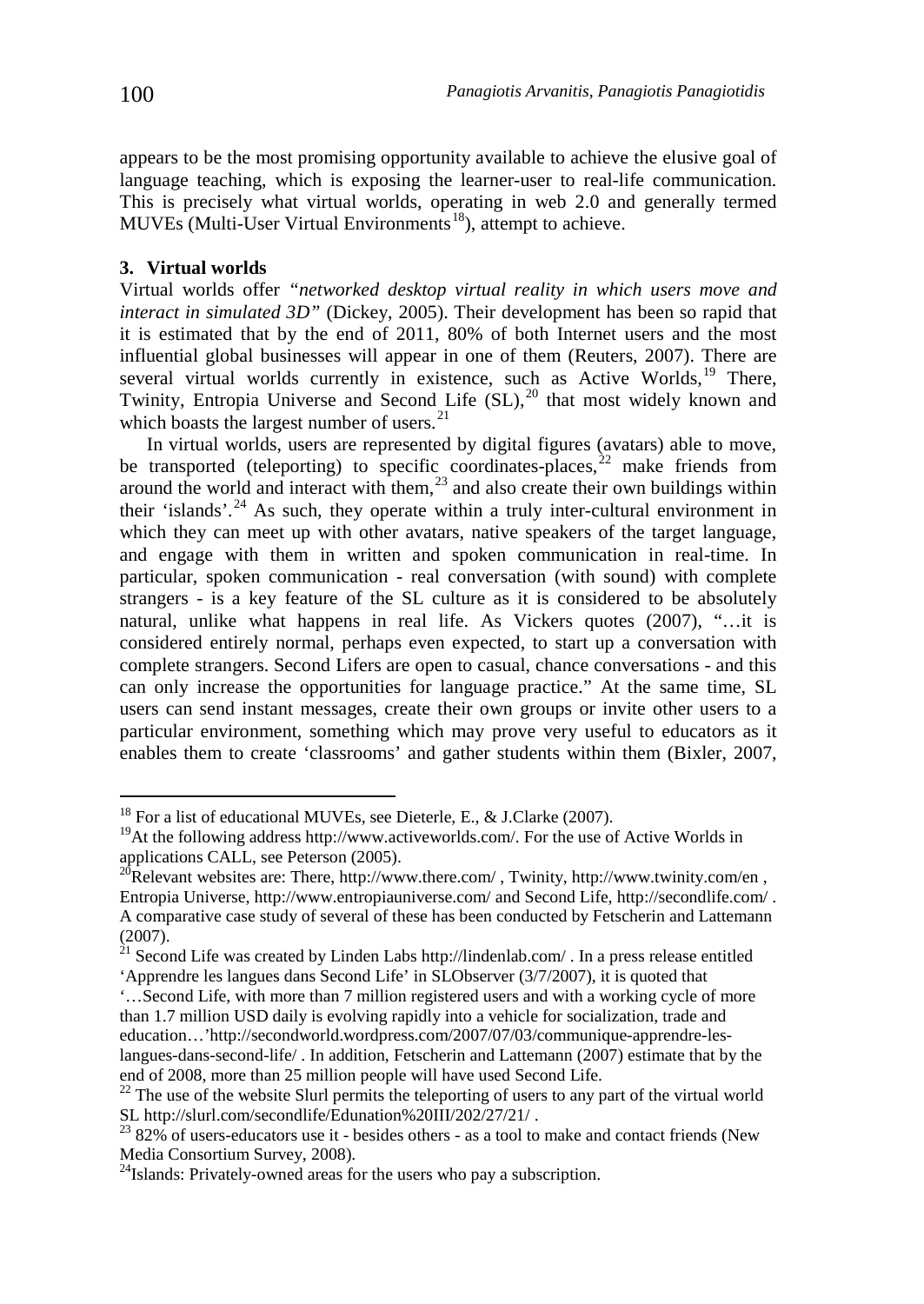appears to be the most promising opportunity available to achieve the elusive goal of language teaching, which is exposing the learner-user to real-life communication. This is precisely what virtual worlds, operating in web 2.0 and generally termed  $MUVEs$  (Multi-User Virtual Environments<sup>[18](#page-3-0)</sup>), attempt to achieve.

## **3. Virtual worlds**

Virtual worlds offer *"networked desktop virtual reality in which users move and interact in simulated 3D"* (Dickey, 2005). Their development has been so rapid that it is estimated that by the end of 2011, 80% of both Internet users and the most influential global businesses will appear in one of them (Reuters, 2007). There are several virtual worlds currently in existence, such as Active Worlds,<sup>[19](#page-3-1)</sup> There, Twinity, Entropia Universe and Second Life  $(SL)$ ,<sup>[20](#page-3-2)</sup> that most widely known and which boasts the largest number of users.<sup>[21](#page-3-3)</sup>

In virtual worlds, users are represented by digital figures (avatars) able to move, be transported (teleporting) to specific coordinates-places, $^{22}$  $^{22}$  $^{22}$  make friends from around the world and interact with them, $^{23}$  $^{23}$  $^{23}$  and also create their own buildings within their 'islands'.<sup>[24](#page-3-6)</sup> As such, they operate within a truly inter-cultural environment in which they can meet up with other avatars, native speakers of the target language, and engage with them in written and spoken communication in real-time. In particular, spoken communication - real conversation (with sound) with complete strangers - is a key feature of the SL culture as it is considered to be absolutely natural, unlike what happens in real life. As Vickers quotes (2007), "…it is considered entirely normal, perhaps even expected, to start up a conversation with complete strangers. Second Lifers are open to casual, chance conversations - and this can only increase the opportunities for language practice." At the same time, SL users can send instant messages, create their own groups or invite other users to a particular environment, something which may prove very useful to educators as it enables them to create 'classrooms' and gather students within them (Bixler, 2007,

<span id="page-3-0"></span><sup>&</sup>lt;sup>18</sup> For a list of educational MUVEs, see Dieterle, E., & J.Clarke (2007).

<span id="page-3-1"></span><sup>&</sup>lt;sup>19</sup>At the following address http://www.activeworlds.com/. For the use of Active Worlds in

<span id="page-3-2"></span>applications CALL, see Peterson (2005).<br><sup>20</sup>Relevant websites are: There, http://www.there.com/, Twinity, http://www.twinity.com/en, Entropia Universe, http://www.entropiauniverse.com/ and Second Life, http://secondlife.com/ . A comparative case study of several of these has been conducted by Fetscherin and Lattemann (2007).

<span id="page-3-3"></span> $21$  Second Life was created by Linden Labs http://lindenlab.com/. In a press release entitled 'Apprendre les langues dans Second Life' in SLObserver (3/7/2007), it is quoted that

<sup>&#</sup>x27;…Second Life, with more than 7 million registered users and with a working cycle of more than 1.7 million USD daily is evolving rapidly into a vehicle for socialization, trade and education…'http://secondworld.wordpress.com/2007/07/03/communique-apprendre-leslangues-dans-second-life/ . In addition, Fetscherin and Lattemann (2007) estimate that by the end of 2008, more than 25 million people will have used Second Life.

<span id="page-3-4"></span><sup>&</sup>lt;sup>22</sup> The use of the website Slurl permits the teleporting of users to any part of the virtual world SL http://slurl.com/secondlife/Edunation%20III/202/27/21/.

<span id="page-3-5"></span> $^{23}$  82% of users-educators use it - besides others - as a tool to make and contact friends (New Media Consortium Survey, 2008).

<span id="page-3-6"></span> $^{24}$ Islands: Privately-owned areas for the users who pay a subscription.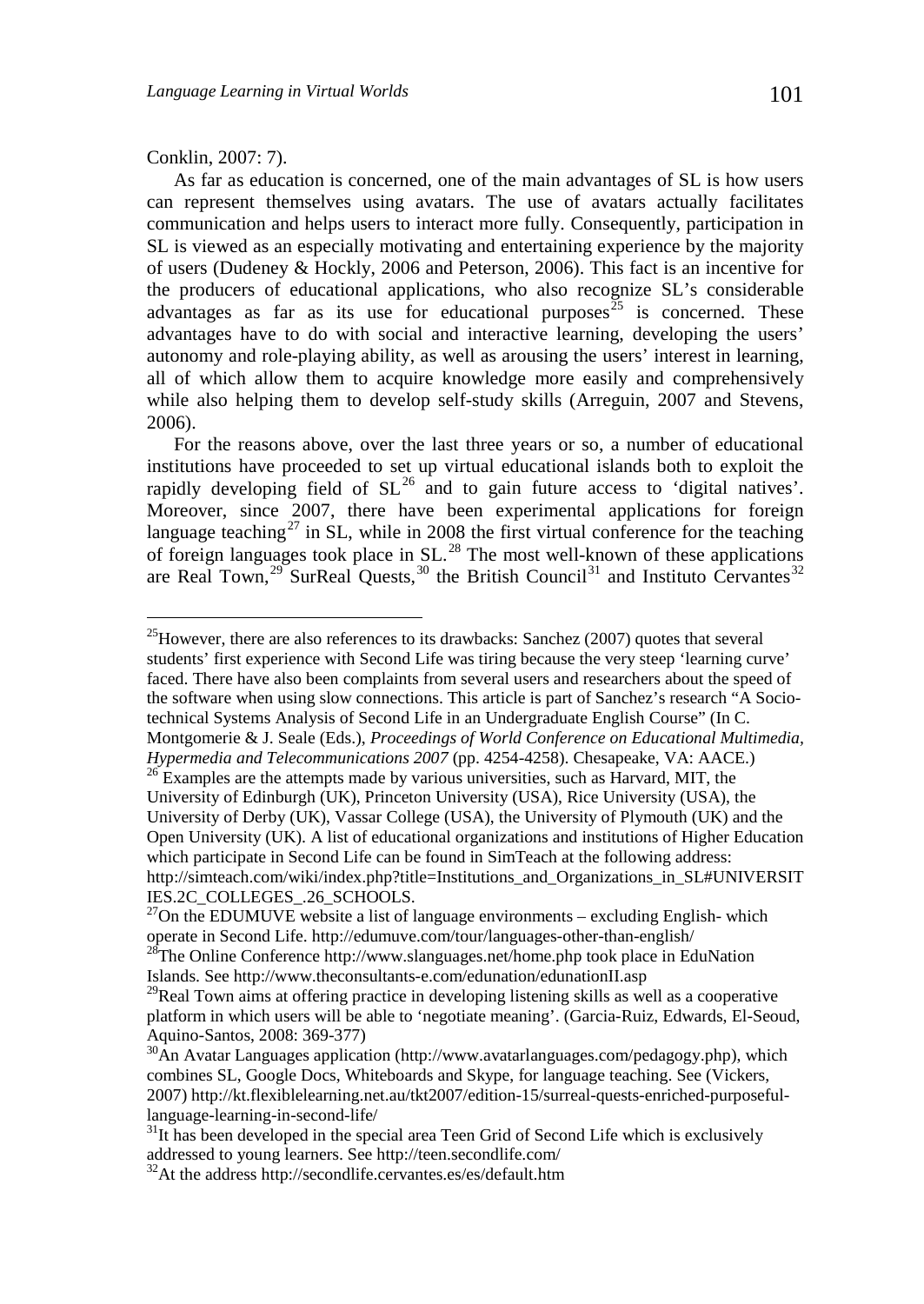### Conklin, 2007: 7).

As far as education is concerned, one of the main advantages of SL is how users can represent themselves using avatars. The use of avatars actually facilitates communication and helps users to interact more fully. Consequently, participation in SL is viewed as an especially motivating and entertaining experience by the majority of users (Dudeney & Hockly, 2006 and Peterson, 2006). This fact is an incentive for the producers of educational applications, who also recognize SL's considerable advantages as far as its use for educational purposes<sup>[25](#page-4-0)</sup> is concerned. These advantages have to do with social and interactive learning, developing the users' autonomy and role-playing ability, as well as arousing the users' interest in learning, all of which allow them to acquire knowledge more easily and comprehensively while also helping them to develop self-study skills (Arreguin, 2007 and Stevens, 2006).

For the reasons above, over the last three years or so, a number of educational institutions have proceeded to set up virtual educational islands both to exploit the rapidly developing field of  $SL^{26}$  $SL^{26}$  $SL^{26}$  and to gain future access to 'digital natives'. Moreover, since 2007, there have been experimental applications for foreign language teaching<sup>[27](#page-4-2)</sup> in SL, while in 2008 the first virtual conference for the teaching of foreign languages took place in  $SL<sup>28</sup>$  $SL<sup>28</sup>$  $SL<sup>28</sup>$  The most well-known of these applications are Real Town,<sup>[29](#page-4-4)</sup> SurReal Quests,<sup>[30](#page-4-5)</sup> the British Council<sup>[31](#page-4-6)</sup> and Instituto Cervantes<sup>[32](#page-4-7)</sup>

<span id="page-4-0"></span> $^{25}$ However, there are also references to its drawbacks: Sanchez (2007) quotes that several students' first experience with Second Life was tiring because the very steep 'learning curve' faced. There have also been complaints from several users and researchers about the speed of the software when using slow connections. This article is part of Sanchez's research "A Sociotechnical Systems Analysis of Second Life in an Undergraduate English Course" (In C. Montgomerie & J. Seale (Eds.), *Proceedings of World Conference on Educational Multimedia,* 

<span id="page-4-1"></span><sup>&</sup>lt;sup>26</sup> Examples are the attempts made by various universities, such as Harvard, MIT, the University of Edinburgh (UK), Princeton University (USA), Rice University (USA), the University of Derby (UK), Vassar College (USA), the University of Plymouth (UK) and the Open University (UK). A list of educational organizations and institutions of Higher Education which participate in Second Life can be found in SimTeach at the following address: http://simteach.com/wiki/index.php?title=Institutions\_and\_Organizations\_in\_SL#UNIVERSIT IES.2C\_COLLEGES\_.26\_SCHOOLS.

<span id="page-4-2"></span> $^{27}$ On the EDUMUVE website a list of language environments – excluding English-which

<span id="page-4-3"></span>operate in Second Life. http://edumuve.com/tour/languages-other-than-english/<br><sup>28</sup>The Online Conference http://www.slanguages.net/home.php took place in EduNation<br>Islands. See http://www.theconsultants-e.com/edunation/edun

<span id="page-4-4"></span> $29$ Real Town aims at offering practice in developing listening skills as well as a cooperative platform in which users will be able to 'negotiate meaning'. (Garcia-Ruiz, [Edwards,](http://www.inderscience.com/search/index.php?action=basic&wf=author&year1=1995&year2=2007&o=2&q=%20Arthur%20Edwards) [El-Seoud,](http://www.inderscience.com/search/index.php?action=basic&wf=author&year1=1995&year2=2007&o=2&q=%20Samir%20A.%20El-Seoud) [Aquino-Santos,](http://www.inderscience.com/search/index.php?action=basic&wf=author&year1=1995&year2=2007&o=2&q=%20Raul%20Aquino-Santos) 2008: 369-377)<br><sup>30</sup>An Avatar Languages application (http://www.avatarlanguages.com/pedagogy.php), which

<span id="page-4-5"></span>combines SL, Google Docs, Whiteboards and Skype, for language teaching. See (Vickers, 2007) http://kt.flexiblelearning.net.au/tkt2007/edition-15/surreal-quests-enriched-purposefullanguage-learning-in-second-life/<br> $31$ It has been developed in the special area Teen Grid of Second Life which is exclusively

<span id="page-4-6"></span>addressed to young learners. See http://teen.secondlife.com/ 32At the address http://secondlife.cervantes.es/es/default.htm

<span id="page-4-7"></span>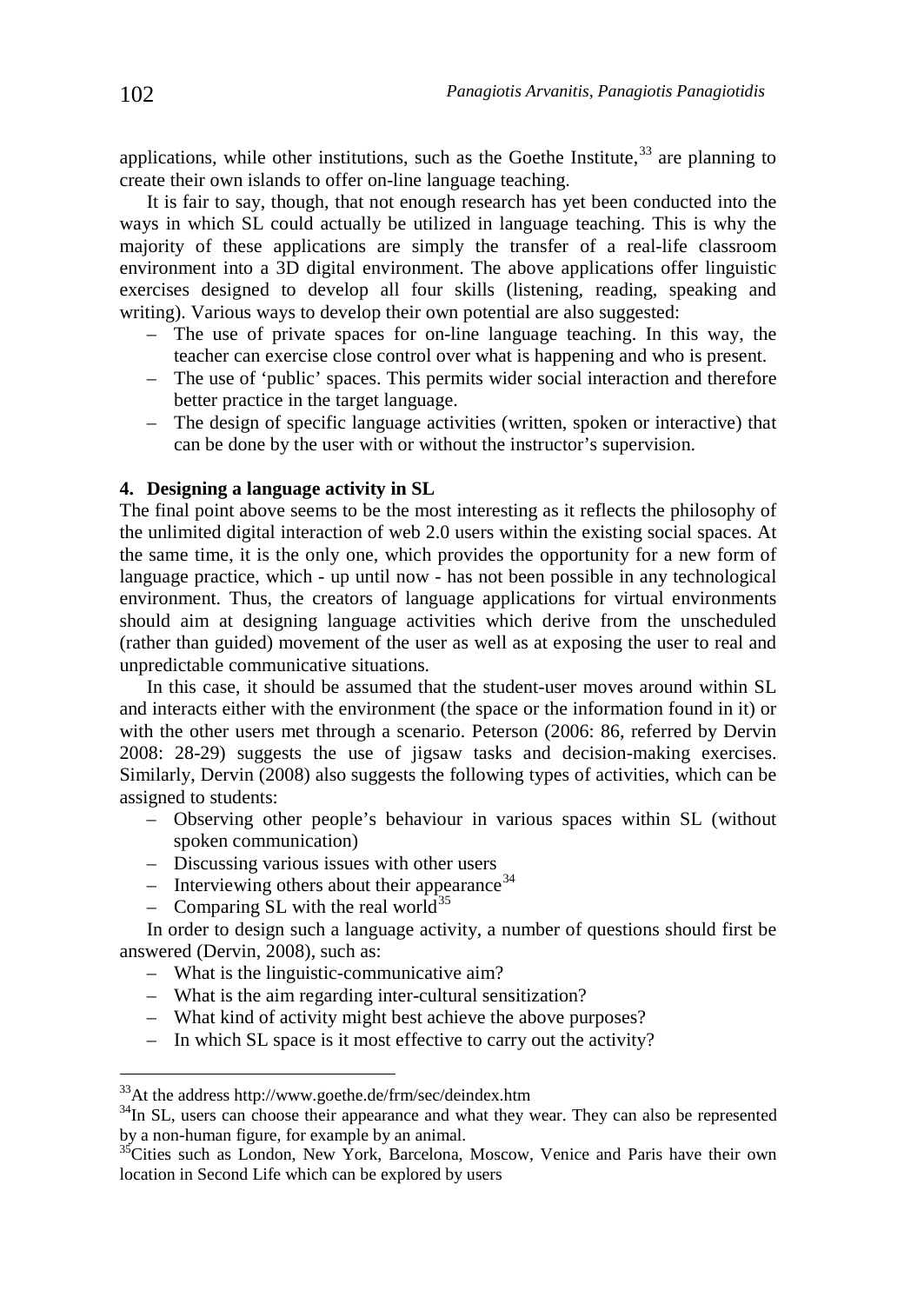applications, while other institutions, such as the Goethe Institute,  $33$  are planning to create their own islands to offer on-line language teaching.

It is fair to say, though, that not enough research has yet been conducted into the ways in which SL could actually be utilized in language teaching. This is why the majority of these applications are simply the transfer of a real-life classroom environment into a 3D digital environment. The above applications offer linguistic exercises designed to develop all four skills (listening, reading, speaking and writing). Various ways to develop their own potential are also suggested:

- The use of private spaces for on-line language teaching. In this way, the teacher can exercise close control over what is happening and who is present.
- The use of 'public' spaces. This permits wider social interaction and therefore better practice in the target language.
- The design of specific language activities (written, spoken or interactive) that can be done by the user with or without the instructor's supervision.

### **4. Designing a language activity in SL**

The final point above seems to be the most interesting as it reflects the philosophy of the unlimited digital interaction of web 2.0 users within the existing social spaces. At the same time, it is the only one, which provides the opportunity for a new form of language practice, which - up until now - has not been possible in any technological environment. Thus, the creators of language applications for virtual environments should aim at designing language activities which derive from the unscheduled (rather than guided) movement of the user as well as at exposing the user to real and unpredictable communicative situations.

In this case, it should be assumed that the student-user moves around within SL and interacts either with the environment (the space or the information found in it) or with the other users met through a scenario. Peterson (2006: 86, referred by Dervin 2008: 28-29) suggests the use of jigsaw tasks and decision-making exercises. Similarly, Dervin (2008) also suggests the following types of activities, which can be assigned to students:

- Observing other people's behaviour in various spaces within SL (without spoken communication)
- Discussing various issues with other users
- $-$  Interviewing others about their appearance<sup>[34](#page-5-1)</sup>
- Comparing SL with the real world<sup>[35](#page-5-2)</sup>

In order to design such a language activity, a number of questions should first be answered (Dervin, 2008), such as:

- What is the linguistic-communicative aim?
- What is the aim regarding inter-cultural sensitization?
- What kind of activity might best achieve the above purposes?
- In which SL space is it most effective to carry out the activity?

<span id="page-5-0"></span> <sup>33</sup>At the address http://www.goethe.de/frm/sec/deindex.htm

<span id="page-5-1"></span> $34$ In SL, users can choose their appearance and what they wear. They can also be represented by a non-human figure, for example by an animal.

<span id="page-5-2"></span> $^{35}$ Cities such as London, New York, Barcelona, Moscow, Venice and Paris have their own location in Second Life which can be explored by users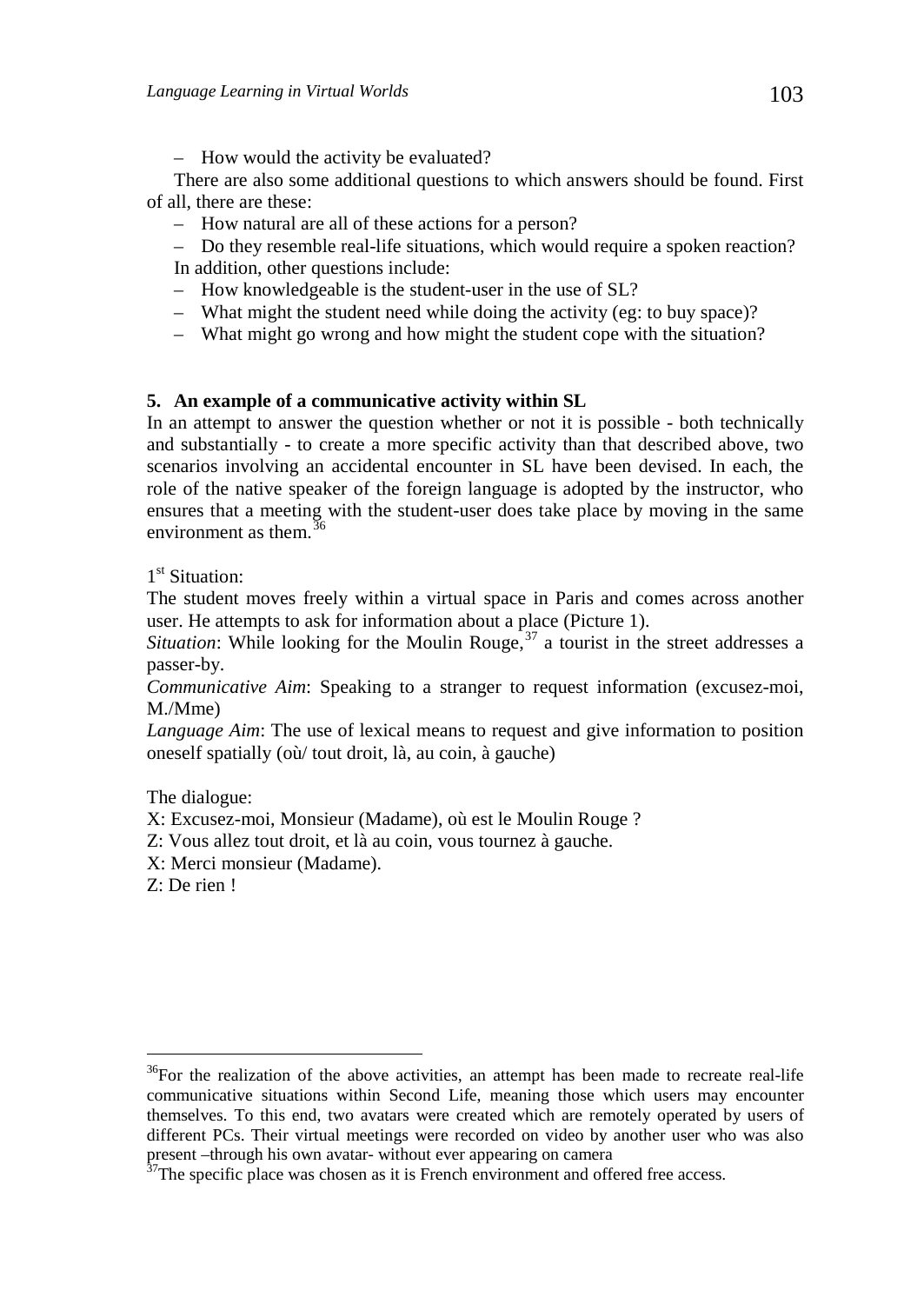– How would the activity be evaluated?

There are also some additional questions to which answers should be found. First of all, there are these:

- How natural are all of these actions for a person?
- Do they resemble real-life situations, which would require a spoken reaction? In addition, other questions include:
- How knowledgeable is the student-user in the use of SL?
- What might the student need while doing the activity (eg: to buy space)?
- What might go wrong and how might the student cope with the situation?

# **5. An example of a communicative activity within SL**

In an attempt to answer the question whether or not it is possible - both technically and substantially - to create a more specific activity than that described above, two scenarios involving an accidental encounter in SL have been devised. In each, the role of the native speaker of the foreign language is adopted by the instructor, who ensures that a meeting with the student-user does take place by moving in the same environment as them  $36$ 

1<sup>st</sup> Situation:

The student moves freely within a virtual space in Paris and comes across another user. He attempts to ask for information about a place (Picture 1).

*Situation*: While looking for the Moulin Rouge,  $37$  a tourist in the street addresses a passer-by.

*Communicative Aim*: Speaking to a stranger to request information (excusez-moi, M./Mme)

*Language Aim*: The use of lexical means to request and give information to position oneself spatially (où/ tout droit, là, au coin, à gauche)

The dialogue:

X: Excusez-moi, Monsieur (Madame), où est le Moulin Rouge ?

Z: Vous allez tout droit, et là au coin, vous tournez à gauche.

X: Merci monsieur (Madame).

Z: De rien !

<span id="page-6-0"></span> $36$ For the realization of the above activities, an attempt has been made to recreate real-life communicative situations within Second Life, meaning those which users may encounter themselves. To this end, two avatars were created which are remotely operated by users of different PCs. Their virtual meetings were recorded on video by another user who was also present –through his own avatar- without ever appearing on camera  $37$ The specific place was chosen as it is French environment and offered free access.

<span id="page-6-1"></span>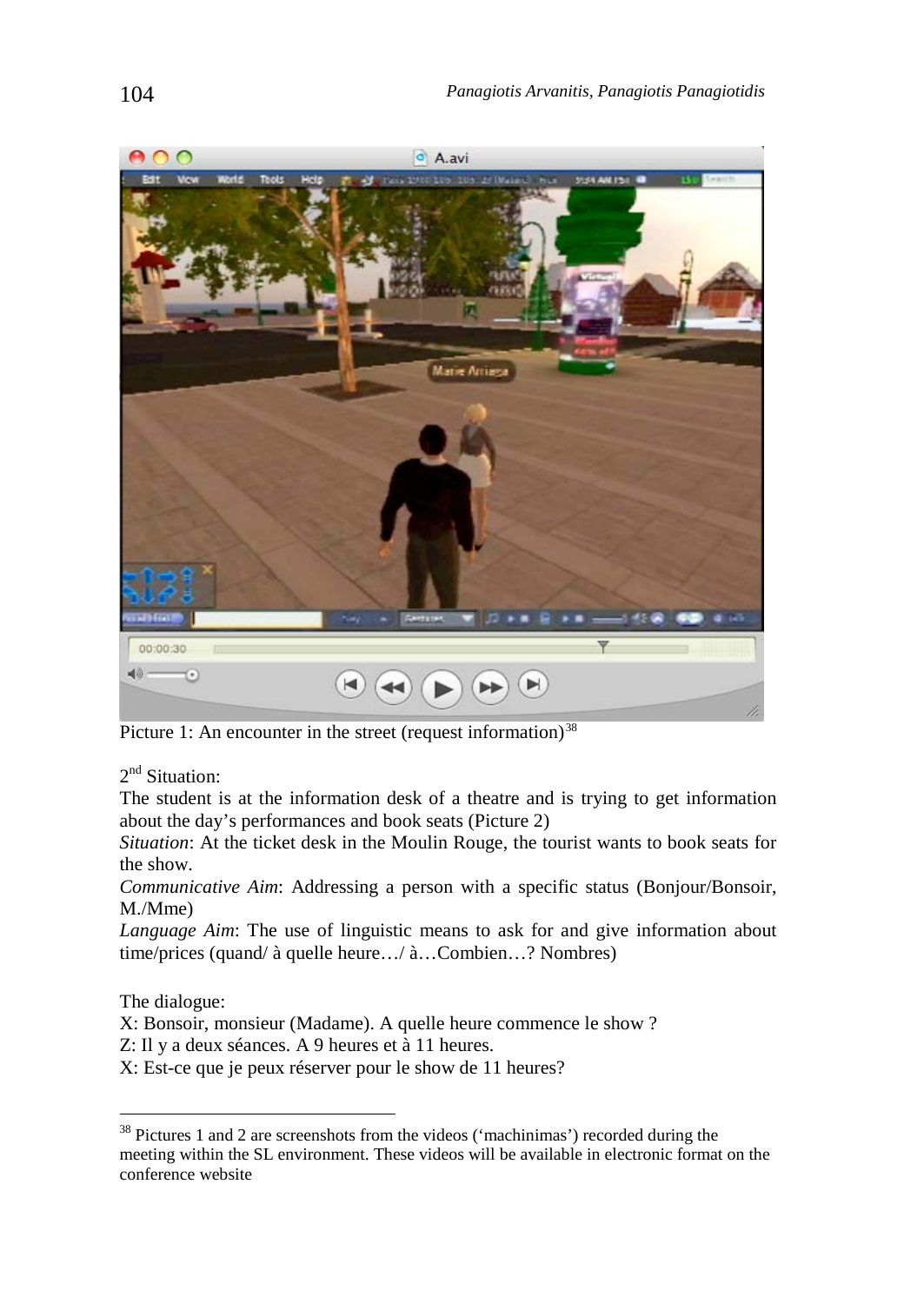

Picture 1: An encounter in the street (request information)<sup>[38](#page-7-0)</sup>

2<sup>nd</sup> Situation:

The student is at the information desk of a theatre and is trying to get information about the day's performances and book seats (Picture 2)

*Situation*: At the ticket desk in the Moulin Rouge, the tourist wants to book seats for the show.

*Communicative Aim*: Addressing a person with a specific status (Bonjour/Bonsoir, M./Mme)

*Language Aim*: The use of linguistic means to ask for and give information about time/prices (quand/ à quelle heure…/ à…Combien…? Nombres)

The dialogue:

X: Bonsoir, monsieur (Madame). A quelle heure commence le show ?

- Z: Il y a deux séances. A 9 heures et à 11 heures.
- X: Est-ce que je peux réserver pour le show de 11 heures?

<span id="page-7-0"></span><sup>&</sup>lt;sup>38</sup> Pictures 1 and 2 are screenshots from the videos ('machinimas') recorded during the meeting within the SL environment. These videos will be available in electronic format on the conference website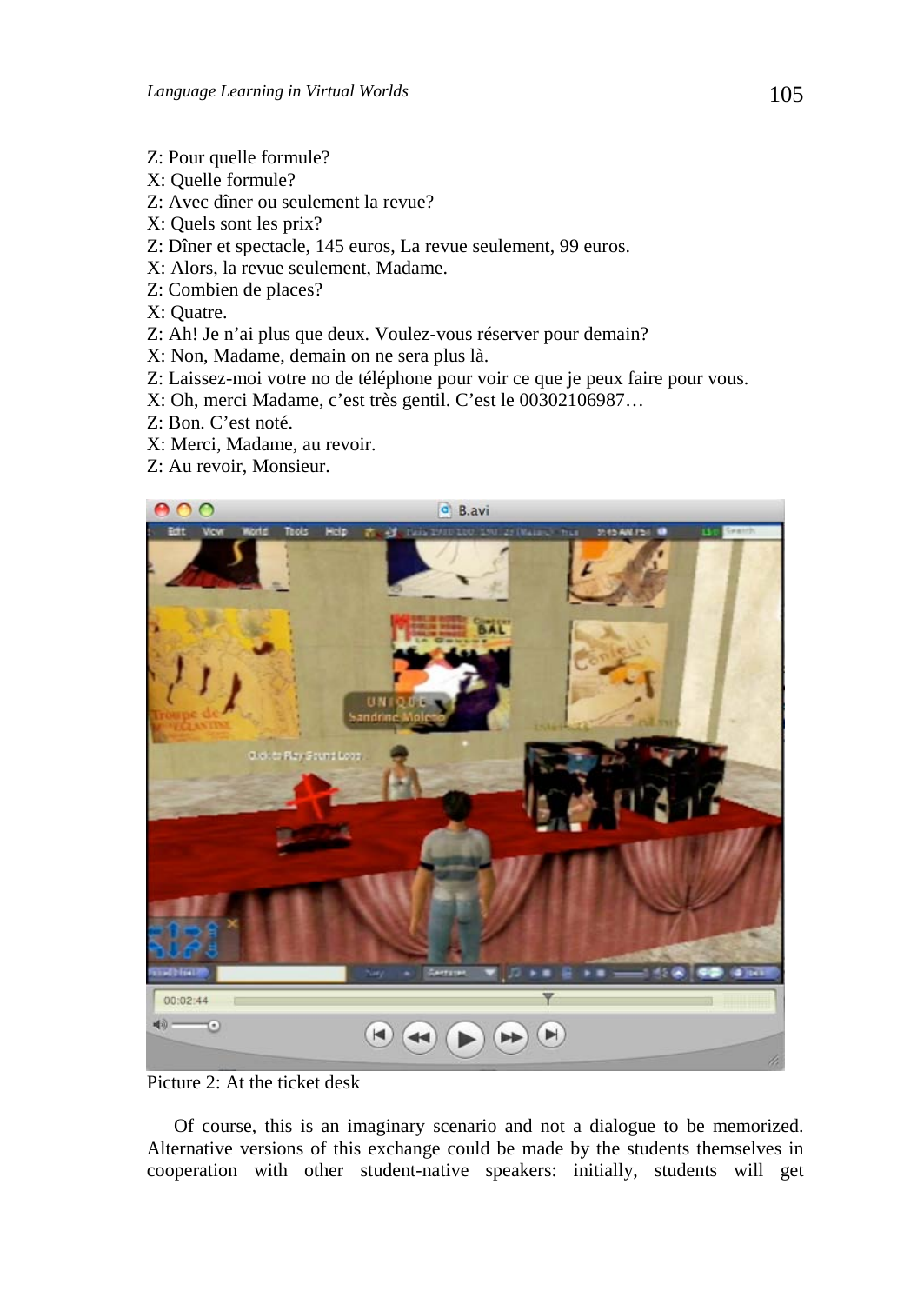- Z: Pour quelle formule?
- X: Quelle formule?
- Z: Avec dîner ou seulement la revue?
- X: Quels sont les prix?
- Z: Dîner et spectacle, 145 euros, La revue seulement, 99 euros.
- X: Alors, la revue seulement, Madame.
- Z: Combien de places?
- X: Quatre.
- Z: Ah! Je n'ai plus que deux. Voulez-vous réserver pour demain?
- X: Non, Madame, demain on ne sera plus là.
- Z: Laissez-moi votre no de téléphone pour voir ce que je peux faire pour vous.
- X: Oh, merci Madame, c'est très gentil. C'est le 00302106987…
- Z: Bon. C'est noté.
- X: Merci, Madame, au revoir.
- Z: Au revoir, Monsieur.



Picture 2: At the ticket desk

Of course, this is an imaginary scenario and not a dialogue to be memorized. Alternative versions of this exchange could be made by the students themselves in cooperation with other student-native speakers: initially, students will get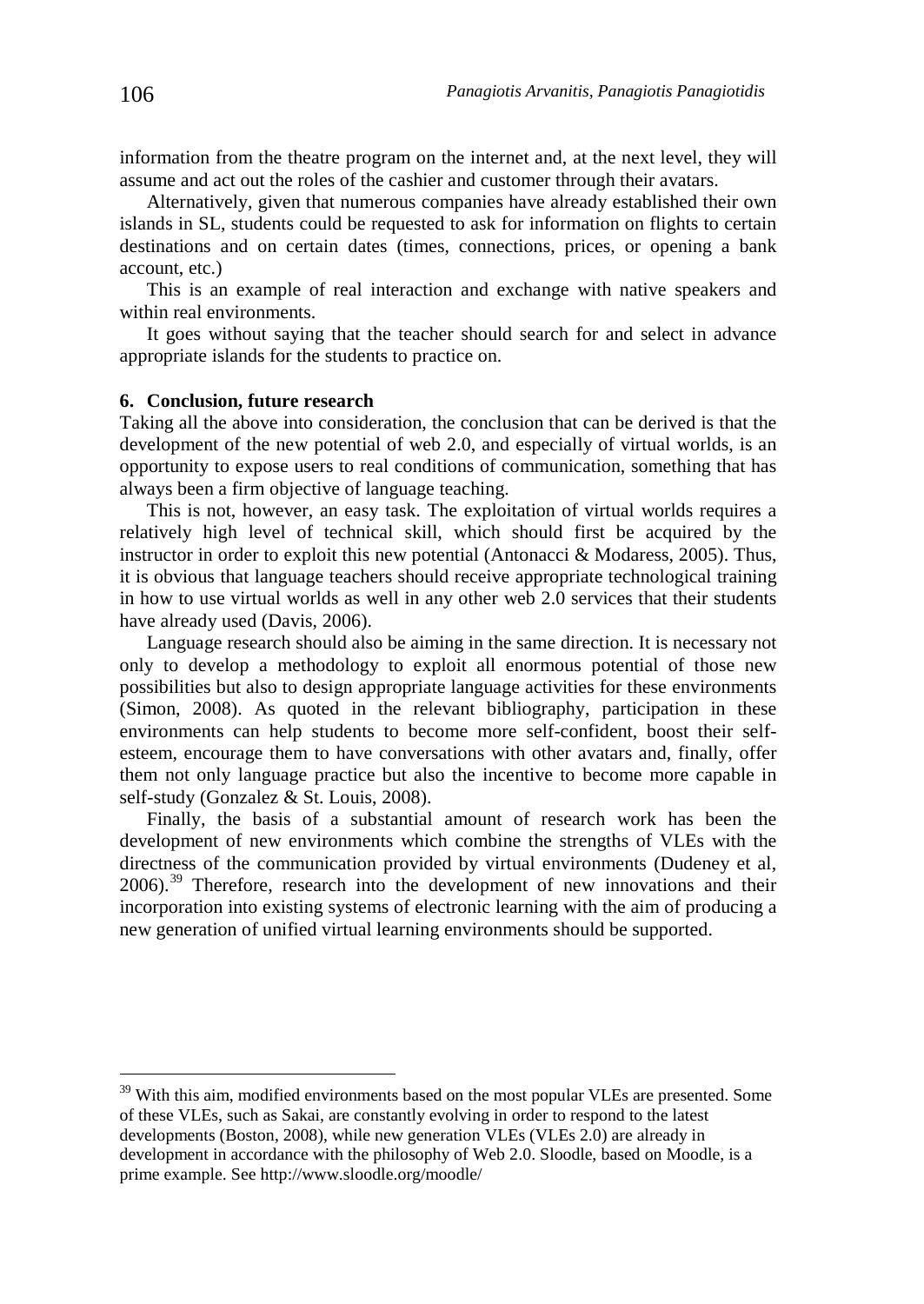information from the theatre program on the internet and, at the next level, they will assume and act out the roles of the cashier and customer through their avatars.

Alternatively, given that numerous companies have already established their own islands in SL, students could be requested to ask for information on flights to certain destinations and on certain dates (times, connections, prices, or opening a bank account, etc.)

This is an example of real interaction and exchange with native speakers and within real environments.

It goes without saying that the teacher should search for and select in advance appropriate islands for the students to practice on.

#### **6. Conclusion, future research**

Taking all the above into consideration, the conclusion that can be derived is that the development of the new potential of web 2.0, and especially of virtual worlds, is an opportunity to expose users to real conditions of communication, something that has always been a firm objective of language teaching.

This is not, however, an easy task. The exploitation of virtual worlds requires a relatively high level of technical skill, which should first be acquired by the instructor in order to exploit this new potential (Antonacci & Modaress, 2005). Thus, it is obvious that language teachers should receive appropriate technological training in how to use virtual worlds as well in any other web 2.0 services that their students have already used (Davis, 2006).

Language research should also be aiming in the same direction. It is necessary not only to develop a methodology to exploit all enormous potential of those new possibilities but also to design appropriate language activities for these environments (Simon, 2008). As quoted in the relevant bibliography, participation in these environments can help students to become more self-confident, boost their selfesteem, encourage them to have conversations with other avatars and, finally, offer them not only language practice but also the incentive to become more capable in self-study (Gonzalez & St. Louis, 2008).

Finally, the basis of a substantial amount of research work has been the development of new environments which combine the strengths of VLEs with the directness of the communication provided by virtual environments (Dudeney et al, 2006).[39](#page-9-0) Therefore, research into the development of new innovations and their incorporation into existing systems of electronic learning with the aim of producing a new generation of unified virtual learning environments should be supported.

<span id="page-9-0"></span><sup>&</sup>lt;sup>39</sup> With this aim, modified environments based on the most popular VLEs are presented. Some of these VLEs, such as Sakai, are constantly evolving in order to respond to the latest developments (Boston, 2008), while new generation VLEs (VLEs 2.0) are already in development in accordance with the philosophy of Web 2.0. Sloodle, based on Moodle, is a prime example. See http://www.sloodle.org/moodle/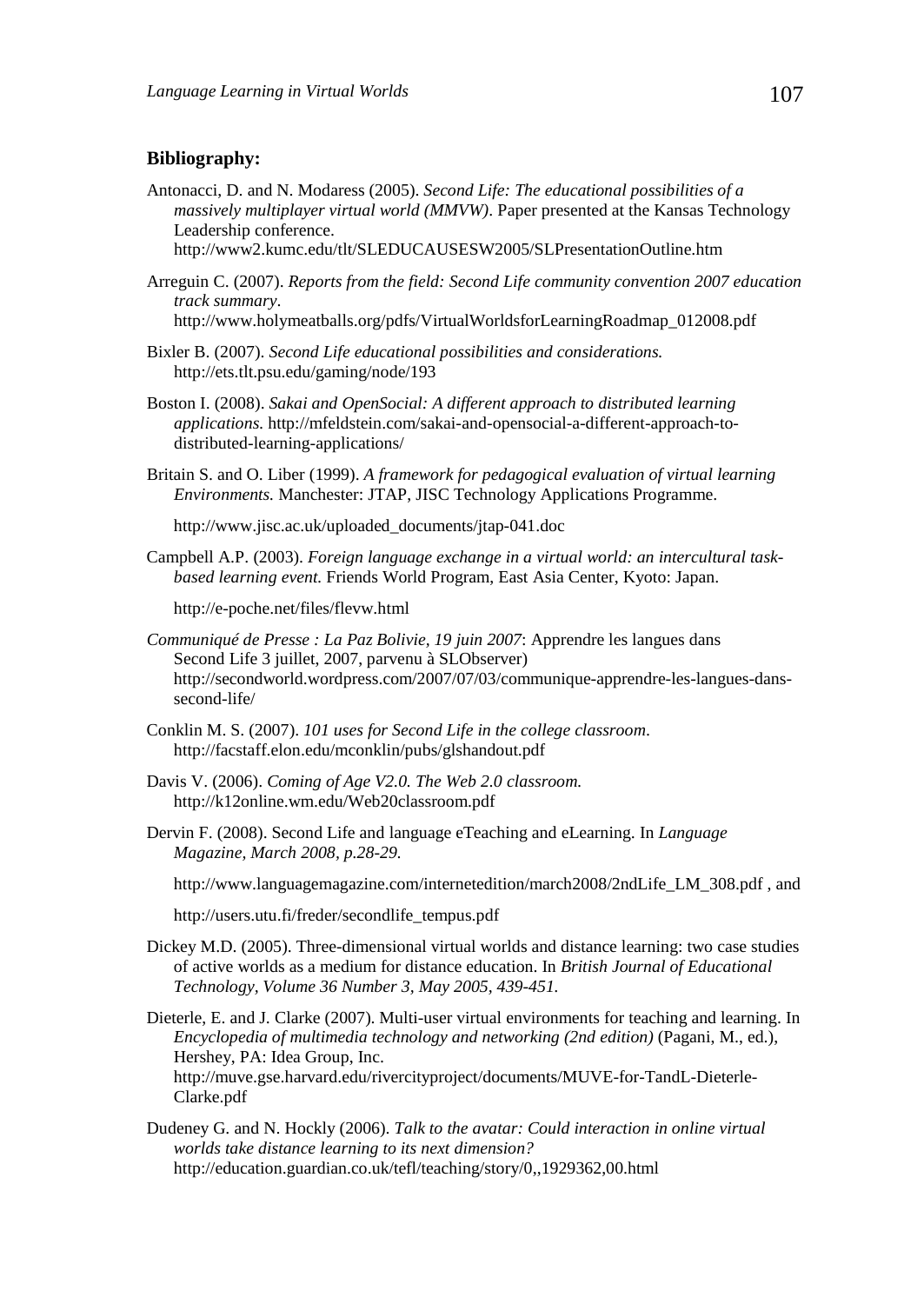## **Bibliography:**

Antonacci, D. and N. Modaress (2005). *Second Life: The educational possibilities of a massively multiplayer virtual world (MMVW)*. Paper presented at the Kansas Technology Leadership conference.

http://www2.kumc.edu/tlt/SLEDUCAUSESW2005/SLPresentationOutline.htm

Arreguin C. (2007). *Reports from the field: Second Life community convention 2007 education track summary*. http://www.holymeatballs.org/pdfs/VirtualWorldsforLearningRoadmap\_012008.pdf

- Bixler B. (2007). *Second Life educational possibilities and considerations.* http://ets.tlt.psu.edu/gaming/node/193
- Boston I. (2008). *Sakai and OpenSocial: A different approach to distributed learning applications.* http://mfeldstein.com/sakai-and-opensocial-a-different-approach-todistributed-learning-applications/
- Britain S. and O. Liber (1999). *A framework for pedagogical evaluation of virtual learning Environments.* Manchester: JTAP, JISC Technology Applications Programme.

http://www.jisc.ac.uk/uploaded\_documents/jtap-041.doc

Campbell A.P. (2003). *Foreign language exchange in a virtual world: an intercultural taskbased learning event.* Friends World Program, East Asia Center, Kyoto: Japan.

http://e-poche.net/files/flevw.html

- *Communiqué de Presse : La Paz Bolivie, 19 juin 2007*: Apprendre les langues dans Second Life 3 juillet, 2007, parvenu à SLObserver) http://secondworld.wordpress.com/2007/07/03/communique-apprendre-les-langues-danssecond-life/
- Conklin M. S. (2007). *101 uses for Second Life in the college classroom*. http://facstaff.elon.edu/mconklin/pubs/glshandout.pdf
- Davis V. (2006). *Coming of Age V2.0. The Web 2.0 classroom.*  http://k12online.wm.edu/Web20classroom.pdf
- Dervin F. (2008). Second Life and language eTeaching and eLearning. In *Language Magazine, March 2008, p.28-29.*

http://www.languagemagazine.com/internetedition/march2008/2ndLife\_LM\_308.pdf , and

http://users.utu.fi/freder/secondlife\_tempus.pdf

Dickey M.D. (2005). Three-dimensional virtual worlds and distance learning: two case studies of active worlds as a medium for distance education. In *British Journal of Educational Technology, Volume 36 Number 3 , May 2005, 439-451.*

Dieterle, E. and J. Clarke (2007). Multi-user virtual environments for teaching and learning. In *Encyclopedia of multimedia technology and networking (2nd edition)* (Pagani, M., ed.), Hershey, PA: Idea Group, Inc. http://muve.gse.harvard.edu/rivercityproject/documents/MUVE-for-TandL-Dieterle-Clarke.pdf

Dudeney G. and N. Hockly (2006). *Talk to the avatar: Could interaction in online virtual worlds take distance learning to its next dimension?* http://education.guardian.co.uk/tefl/teaching/story/0,,1929362,00.html